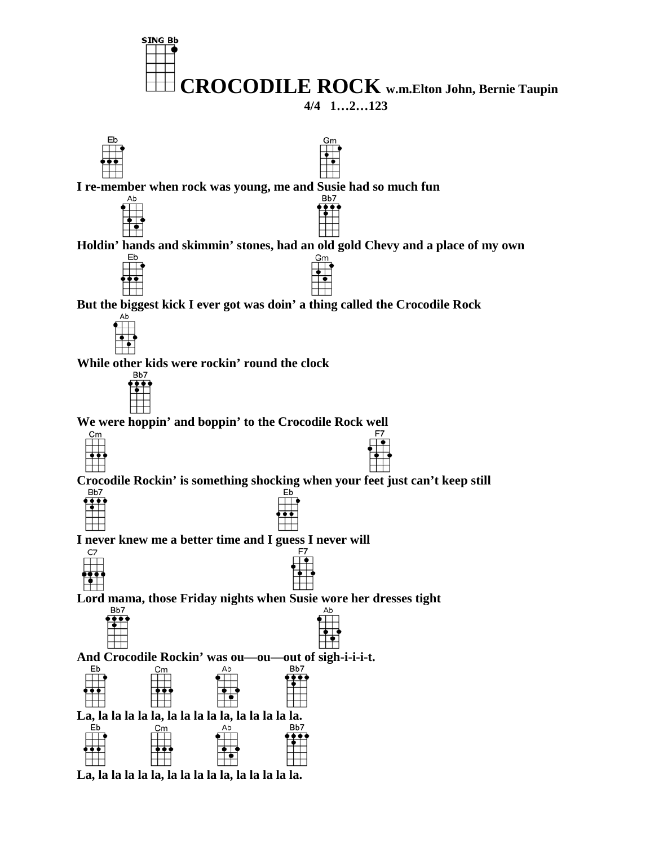

 **La, la la la la la, la la la la la, la la la la la.**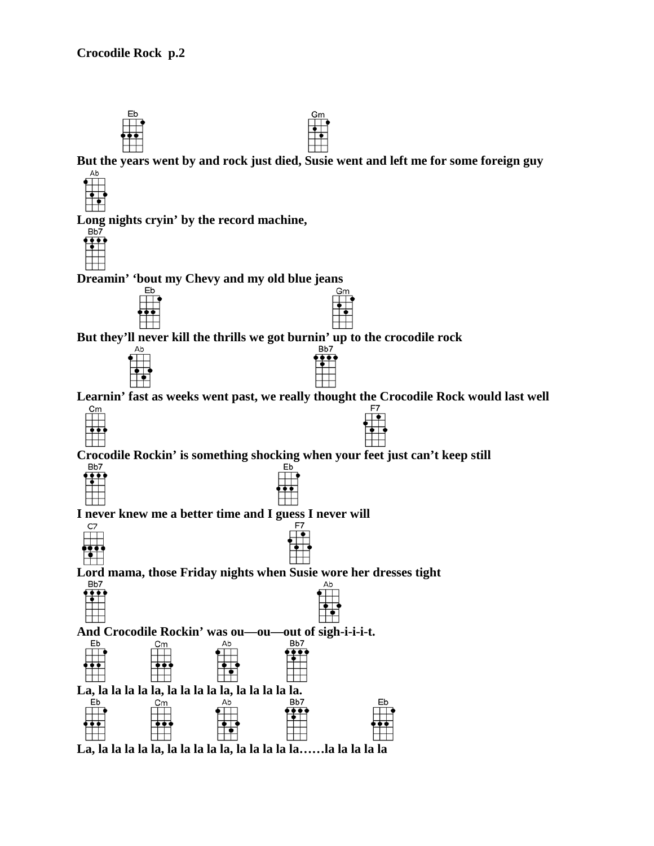

 **But the years went by and rock just died, Susie went and left me for some foreign guy**